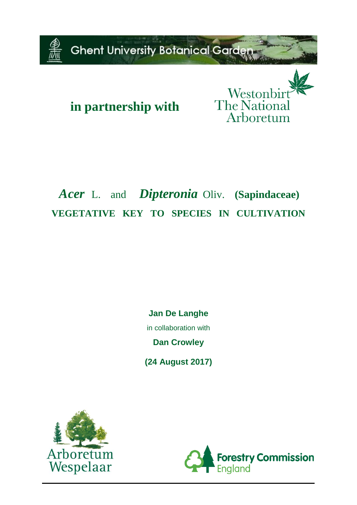

# **in partnership with**

Westonbi The Nationa Arboretum

# *Acer*L. and*Dipteronia* Oliv. **(Sapindaceae) VEGETATIVE KEY TO SPECIES IN CULTIVATION**

**Jan De Langhe** in collaboration with **Dan Crowley**

**(24 August 2017)**



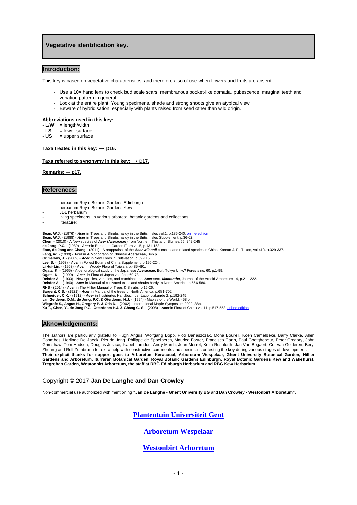### **Vegetative identification key.**

#### **Introduction:**

This key is based on vegetative characteristics, and therefore also of use when flowers and fruits are absent.

- Use a 10× hand lens to check bud scale scars, membranous pocket-like domatia, pubescence, marginal teeth and venation pattern in general.
- Look at the entire plant. Young specimens, shade and strong shoots give an atypical view.
- Beware of hybridisation, especially with plants raised from seed other than wild origin.

#### **Abbreviations used in this key:**

- $\overline{L/W}$  = length/width
- $-LS$  = lower surface<br> $-LS$  = upper surface
- **US** = upper surface

#### **Taxa treated in this key:** → p**16.**

#### **Taxa** referred to synonymy in this key:  $\rightarrow$  p17.

**Remarks:** → p**17.**

#### **References:**

- herbarium Royal Botanic Gardens Edinburgh
- herbarium Royal Botanic Gardens Kew
- JDL herbarium
- living specimens, in various arboreta, botanic gardens and collections
- literature:

**Bean, W.J. -** (1976) - *Acer* in Trees and Shrubs hardy in the British Isles vol.1, p.185-240. <u>online edition</u><br>**Bean, W.J. -** (1988) - *Acer* in Trees and Shrubs hardy in the British Isles Supplement, p.36-62.

**Chen** - (2010) - A New species of *Acer* (**Aceraceae**) from Northern Thailand, Blumea 55, 242-245 **de Jong, P.C.** - (1989) - *Acer* in European Garden Flora vol.5, p.131-153.

E**om, de Jong and Chang** - (2011) - A reappraisal of the *Acer wilsonii* complex and related species in China, Korean J. Pl. Taxon, vol 41/4 p.329-337.<br>F**ang, W. -** (1939) - *Acer* in A Monograph of Chinese Aceraceae, 346

**Li Hui-Lin. -** (1963) - **Acer** in Woody Flora of Taiwan, p.485-491.<br>**Ogata, K. - (**1965) - A dendrological study of the Japanese **Aceraceae**, Bull. Tokyo Univ.? Forests no. 60, p.1-99.<br>**Ogata, K. - (1**993) - A**cer** in Flo

- 
- 

RHS - (2014) - *Acer* in The Hillier Manual of Trees & Shrubs, p.15-26.<br>Sargent, C.S. - (1921) - A*cer* in Manual of the trees of North America, p.681-702.<br>Schneider, C.K. - (1912) - *Acer* in Illustriertes Handbuch der La

## **Aknowledgements:**

The authors are particularly grateful to Hugh Angus, Wolfgang Bopp, Piotr Banaszczak, Mona Bourell, Koen Camelbeke, Barry Clarke, Allen Coombes, Herlinde De Jaeck, Piet de Jong, Philippe de Spoelberch, Maurice Foster, Francisco Garin, Paul Goetghebeur, Peter Gregory, John Grimshaw, Tom Hudson, Douglas Justice, Isabel Larridon, Andy Marsh, Jean Merret, Keith Rushforth, Jan Van Bogaert, Cor van Gelderen, Beryl Zhuang and Rolf Zumbrunn for extra help with constructive comments and specimens or testing the key during various stages of development.<br>Their explicit thanks for support goes to Arboretum Keracoual, Arboretum W **Gardens and Arboretum, Iturraran Botanical Garden, Royal Botanic Gardens Edinburgh, Royal Botanic Gardens Kew and Wakehurst, Tregrehan Garden, Westonbirt Arboretum, the staff at RBG Edinburgh Herbarium and RBG Kew Herbarium.**

#### Copyright © 2017 **Jan De Langhe and Dan Crowley**

Non-commercial use authorized with mentioning **"Jan De Langhe - Ghent University BG** and **Dan Crowley - Westonbirt Arboretum".**

## **[Plantentuin Universiteit Gent](http://www.plantentuin.ugent.be/)**

## **[Arboretum Wespelaar](http://www.arboretumwespelaar.be/EN/Identification_keys_and_illustrations/)**

## **[Westonbirt Arboretum](http://www.forestry.gov.uk/westonbirt-trees)**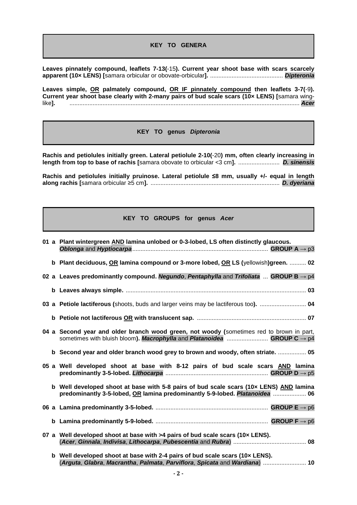**KEY TO GENERA**

**Leaves pinnately compound, leaflets 7-13(**-15**). Current year shoot base with scars scarcely apparent (10× LENS) [**samara orbicular or obovate-orbicular**].** ............................................ *Dipteronia*

**Leaves simple, OR palmately compound, OR IF pinnately compound then leaflets 3-7(**-9**). Current year shoot base clearly with 2-many pairs of bud scale scars (10× LENS) [**samara winglike**].** ........................................................................................................................................... *Acer*

**KEY TO genus** *Dipteronia*

**Rachis and petiolules initially green. Lateral petiolule 2-10(**-20**) mm, often clearly increasing in length from top to base of rachis [**samara obovate to orbicular <3 cm**].** ......................... *D. sinensis*

**Rachis and petiolules initially pruinose. Lateral petiolule ≤8 mm, usually +/- equal in length along rachis [**samara orbicular ≥5 cm**].** .............................................................................. *D. dyeriana*

## **KEY TO GROUPS for genus** *Acer*

|  | 01 a Plant wintergreen AND lamina unlobed or 0-3-lobed, LS often distinctly glaucous.                                                                                           |
|--|---------------------------------------------------------------------------------------------------------------------------------------------------------------------------------|
|  | b Plant deciduous, OR lamina compound or 3-more lobed, OR LS (yellowish)green.  02                                                                                              |
|  | 02 a Leaves predominantly compound. Negundo, Pentaphylla and Trifoliata  GROUP B $\rightarrow$ p4                                                                               |
|  |                                                                                                                                                                                 |
|  | 03 a Petiole lactiferous (shoots, buds and larger veins may be lactiferous too).  04                                                                                            |
|  |                                                                                                                                                                                 |
|  | 04 a Second year and older branch wood green, not woody (sometimes red to brown in part,<br>sometimes with bluish bloom). Macrophylla and Platanoidea  GROUP C $\rightarrow$ p4 |
|  | b Second year and older branch wood grey to brown and woody, often striate.  05                                                                                                 |
|  | 05 a Well developed shoot at base with 8-12 pairs of bud scale scars AND lamina                                                                                                 |
|  | b Well developed shoot at base with 5-8 pairs of bud scale scars (10x LENS) AND lamina<br>predominantly 3-5-lobed, OR lamina predominantly 5-9-lobed. Platanoidea  06           |
|  |                                                                                                                                                                                 |
|  |                                                                                                                                                                                 |
|  | 07 a Well developed shoot at base with >4 pairs of bud scale scars (10x LENS).                                                                                                  |
|  | b Well developed shoot at base with 2-4 pairs of bud scale scars (10x LENS).<br>(Arguta, Glabra, Macrantha, Palmata, Parviflora, Spicata and Wardiana)  10                      |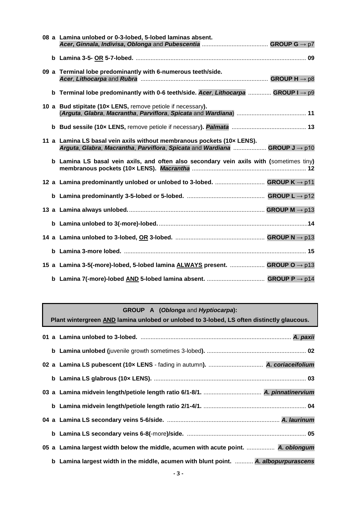|  | 08 a Lamina unlobed or 0-3-lobed, 5-lobed laminas absent.                                                                                             |  |
|--|-------------------------------------------------------------------------------------------------------------------------------------------------------|--|
|  |                                                                                                                                                       |  |
|  |                                                                                                                                                       |  |
|  | 09 a Terminal lobe predominantly with 6-numerous teeth/side.                                                                                          |  |
|  | b Terminal lobe predominantly with 0-6 teeth/side. Acer, Lithocarpa  GROUP I $\rightarrow$ p9                                                         |  |
|  | 10 a Bud stipitate (10x LENS, remove petiole if necessary).                                                                                           |  |
|  |                                                                                                                                                       |  |
|  | 11 a Lamina LS basal vein axils without membranous pockets (10x LENS).<br>Arguta, Glabra, Macrantha, Parviflora, Spicata and Wardiana  GROUP J -> p10 |  |
|  | b Lamina LS basal vein axils, and often also secondary vein axils with (sometimes tiny)                                                               |  |
|  | 12 a Lamina predominantly unlobed or unlobed to 3-lobed.  GROUP $K \rightarrow p11$                                                                   |  |
|  |                                                                                                                                                       |  |
|  |                                                                                                                                                       |  |
|  |                                                                                                                                                       |  |
|  |                                                                                                                                                       |  |
|  |                                                                                                                                                       |  |
|  | 15 a Lamina 3-5(-more)-lobed, 5-lobed lamina ALWAYS present.  GROUP O → p13                                                                           |  |
|  |                                                                                                                                                       |  |

### **GROUP A (***Oblonga* and *Hyptiocarpa***):**

**Plant wintergreen AND lamina unlobed or unlobed to 3-lobed, LS often distinctly glaucous. 01 a Lamina unlobed to 3-lobed.** ........................................................................................... *A. paxii* **b Lamina unlobed (**juvenile growth sometimes 3-lobed**).** ............................................................ **02 02 a Lamina LS pubescent (10× LENS** - fading in autumn**).** ................................. *A. coriaceifolium* **b Lamina LS glabrous (10× LENS).** ............................................................................................ **03 03 a Lamina midvein length/petiole length ratio 6/1-8/1.** ................................... *A. pinnatinervium* **b Lamina midvein length/petiole length ratio 2/1-4/1.** .............................................................. **04 04 a Lamina LS secondary veins 5-6/side.** .................................................................... *A. laurinum* **b Lamina LS secondary veins 6-8(**-more**)/side.** ........................................................................ **05 05 a Lamina largest width below the middle, acumen with acute point.** ................. *A. oblongum* **b Lamina largest width in the middle, acumen with blunt point.** ........... *A. albopurpurascens*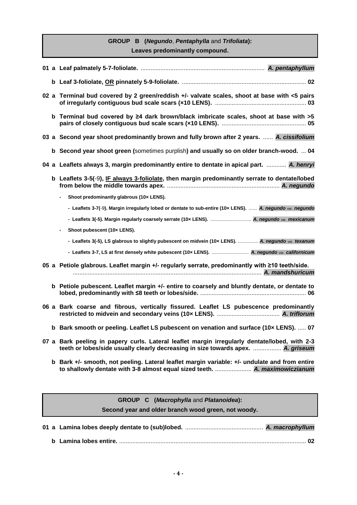## **GROUP B (***Negundo*, *Pentaphylla* and *Trifoliata***): Leaves predominantly compound.**

|  | 02 a Terminal bud covered by 2 green/reddish +/- valvate scales, shoot at base with <5 pairs                                                                                      |
|--|-----------------------------------------------------------------------------------------------------------------------------------------------------------------------------------|
|  | b Terminal bud covered by ≥4 dark brown/black imbricate scales, shoot at base with >5                                                                                             |
|  | 03 a Second year shoot predominantly brown and fully brown after 2 years.  A. cissifolium                                                                                         |
|  | b Second year shoot green (sometimes purplish) and usually so on older branch-wood.  04                                                                                           |
|  | 04 a Leaflets always 3, margin predominantly entire to dentate in apical part.  A. henryi                                                                                         |
|  | b Leaflets 3-5(-9), IF always 3-foliolate, then margin predominantly serrate to dentate/lobed                                                                                     |
|  | Shoot predominantly glabrous (10x LENS).                                                                                                                                          |
|  | - Leaflets 3-7(-9). Margin irregularly lobed or dentate to sub-entire (10x LENS).  A. negundo var. negundo                                                                        |
|  | - Leaflets 3(-5). Margin regularly coarsely serrate (10x LENS).  A. negundo var. mexicanum                                                                                        |
|  | Shoot pubescent (10x LENS).                                                                                                                                                       |
|  | - Leaflets 3(-5), LS glabrous to slightly pubescent on midvein (10x LENS).  A. negundo var. texanum                                                                               |
|  | - Leaflets 3-7, LS at first densely white pubescent (10x LENS).  A. negundo var. californicum                                                                                     |
|  | 05 a Petiole glabrous. Leaflet margin +/- regularly serrate, predominantly with ≥10 teeth/side.                                                                                   |
|  | b Petiole pubescent. Leaflet margin +/- entire to coarsely and bluntly dentate, or dentate to                                                                                     |
|  | 06 a Bark coarse and fibrous, vertically fissured. Leaflet LS pubescence predominantly                                                                                            |
|  | b Bark smooth or peeling. Leaflet LS pubescent on venation and surface (10x LENS).  07                                                                                            |
|  | 07 a Bark peeling in papery curls. Lateral leaflet margin irregularly dentate/lobed, with 2-3<br>teeth or lobes/side usually clearly decreasing in size towards apex.  A. griseum |
|  | b Bark +/- smooth, not peeling. Lateral leaflet margin variable: +/- undulate and from entire                                                                                     |
|  |                                                                                                                                                                                   |
|  | GROUP C (Macrophylla and Platanoidea):                                                                                                                                            |

**Second year and older branch wood green, not woody.**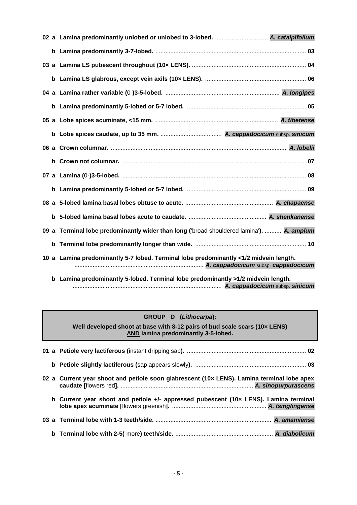| b |                                                                                          |
|---|------------------------------------------------------------------------------------------|
|   |                                                                                          |
|   |                                                                                          |
|   | 09 a Terminal lobe predominantly wider than long ('broad shouldered lamina').  A. amplum |
| b |                                                                                          |
|   | 10 a Lamina predominantly 5-7 lobed. Terminal lobe predominantly <1/2 midvein length.    |
| b | Lamina predominantly 5-lobed. Terminal lobe predominantly >1/2 midvein length.           |

## **GROUP D (***Lithocarpa***):**

**Well developed shoot at base with 8-12 pairs of bud scale scars (10× LENS) AND lamina predominantly 3-5-lobed.**

|  | 02 a Current year shoot and petiole soon glabrescent (10x LENS). Lamina terminal lobe apex |
|--|--------------------------------------------------------------------------------------------|
|  | b Current year shoot and petiole +/- appressed pubescent (10x LENS). Lamina terminal       |
|  |                                                                                            |
|  |                                                                                            |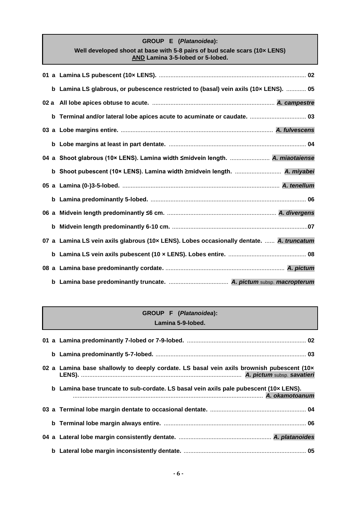## **GROUP E (***Platanoidea***): Well developed shoot at base with 5-8 pairs of bud scale scars (10× LENS) AND Lamina 3-5-lobed or 5-lobed.**

| b Lamina LS glabrous, or pubescence restricted to (basal) vein axils (10x LENS).  05     |  |
|------------------------------------------------------------------------------------------|--|
|                                                                                          |  |
| b Terminal and/or lateral lobe apices acute to acuminate or caudate.  03                 |  |
|                                                                                          |  |
|                                                                                          |  |
| 04 a Shoot glabrous (10× LENS). Lamina width ≤midvein length.  A. miaotaiense            |  |
| b Shoot pubescent (10× LENS). Lamina width ≥midvein length.  A. miyabei                  |  |
|                                                                                          |  |
|                                                                                          |  |
|                                                                                          |  |
|                                                                                          |  |
|                                                                                          |  |
| 07 a Lamina LS vein axils glabrous (10x LENS). Lobes occasionally dentate.  A. truncatum |  |
|                                                                                          |  |
|                                                                                          |  |

## **GROUP F (***Platanoidea***): Lamina 5-9-lobed.**

|  | 02 a Lamina base shallowly to deeply cordate. LS basal vein axils brownish pubescent (10x |
|--|-------------------------------------------------------------------------------------------|
|  | b Lamina base truncate to sub-cordate. LS basal vein axils pale pubescent (10x LENS).     |
|  |                                                                                           |
|  |                                                                                           |
|  |                                                                                           |
|  |                                                                                           |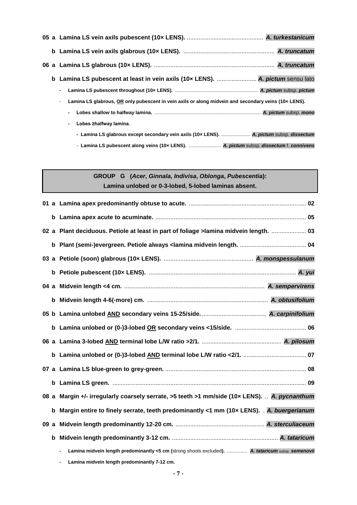|  | b Lamina LS pubescent at least in vein axils (10x LENS).  A. pictum sensu lato                                         |
|--|------------------------------------------------------------------------------------------------------------------------|
|  | $\blacksquare$                                                                                                         |
|  | Lamina LS glabrous, OR only pubescent in vein axils or along midvein and secondary veins (10x LENS).<br>$\blacksquare$ |
|  | $\blacksquare$                                                                                                         |
|  | Lobes ≥halfway lamina.<br>$\blacksquare$                                                                               |
|  | - Lamina LS glabrous except secondary vein axils (10x LENS).  A. pictum subsp. dissectum                               |
|  | - Lamina LS pubescent along veins (10x LENS).  A. pictum subsp. dissectum f. connivens                                 |

## **GROUP G (***Acer***,** *Ginnala***,** *Indivisa***,** *Oblonga***,** *Pubescentia***): Lamina unlobed or 0-3-lobed, 5-lobed laminas absent.**

|   | 02 a Plant deciduous. Petiole at least in part of foliage > lamina midvein length.  03             |
|---|----------------------------------------------------------------------------------------------------|
|   |                                                                                                    |
|   |                                                                                                    |
| b |                                                                                                    |
|   |                                                                                                    |
|   |                                                                                                    |
|   |                                                                                                    |
|   |                                                                                                    |
|   |                                                                                                    |
| b |                                                                                                    |
|   |                                                                                                    |
| b |                                                                                                    |
|   | 08 a Margin +/- irregularly coarsely serrate, >5 teeth >1 mm/side (10x LENS).  A. pycnanthum       |
| b | Margin entire to finely serrate, teeth predominantly <1 mm (10x LENS). . A. buergerianum           |
|   |                                                                                                    |
|   |                                                                                                    |
|   | Lamina midvein length predominantly <5 cm (strong shoots excluded).  A. tataricum subsp. semenovii |
|   | Lamina midvein length predominantly 7-12 cm.                                                       |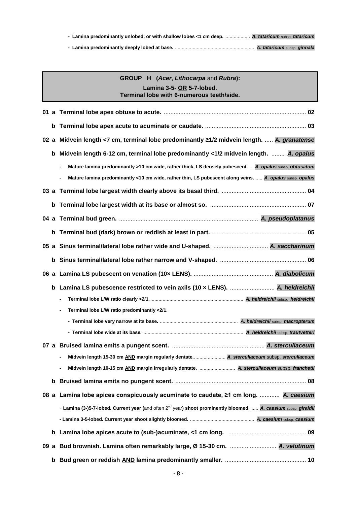| - Lamina predominantly unlobed, or with shallow lobes <1 cm deep.  A. tataricum subsp. tataricum |  |
|--------------------------------------------------------------------------------------------------|--|
|                                                                                                  |  |

|  | <b>GROUP H</b> (Acer, Lithocarpa and Rubra): |
|--|----------------------------------------------|
|  | Lamina 3-5- OR 5-7-lobed.                    |
|  | Terminal lobe with 6-numerous teeth/side.    |

| b    |                                                                                                                              |
|------|------------------------------------------------------------------------------------------------------------------------------|
| 02 a | Midvein length <7 cm, terminal lobe predominantly ≥1/2 midvein length.  A. granatense                                        |
| b    | Midvein length 6-12 cm, terminal lobe predominantly <1/2 midvein length.  A. opalus                                          |
|      | Mature lamina predominantly >10 cm wide, rather thick, LS densely pubescent.  A. opalus subsp. obtusatum<br>$\blacksquare$   |
|      | Mature lamina predominantly <10 cm wide, rather thin, LS pubescent along veins.  A. opalus subsp. opalus                     |
|      |                                                                                                                              |
| b    |                                                                                                                              |
| 04   |                                                                                                                              |
| b    |                                                                                                                              |
| 05 a |                                                                                                                              |
| b    |                                                                                                                              |
|      |                                                                                                                              |
| b    | Lamina LS pubescence restricted to vein axils (10 x LENS).  A. heldreichii                                                   |
|      |                                                                                                                              |
|      | Terminal lobe L/W ratio predominantly <2/1.<br>$\blacksquare$                                                                |
|      |                                                                                                                              |
|      |                                                                                                                              |
|      |                                                                                                                              |
|      | Midvein length 15-30 cm AND margin regularly dentate A. sterculiaceum subsp. sterculiaceum                                   |
|      | Midvein length 10-15 cm AND margin irregularly dentate.  A. sterculiaceum subsp. franchetii                                  |
|      |                                                                                                                              |
|      | 08 a Lamina lobe apices conspicuously acuminate to caudate, ≥1 cm long.  A. caesium                                          |
|      | - Lamina (3-)5-7-lobed. Current year (and often 2 <sup>nd</sup> year) shoot prominently bloomed.  A. caesium subsp. giraldii |
|      |                                                                                                                              |
|      |                                                                                                                              |
|      | 09 a Bud brownish. Lamina often remarkably large, Ø 15-30 cm.  A. velutinum                                                  |
|      |                                                                                                                              |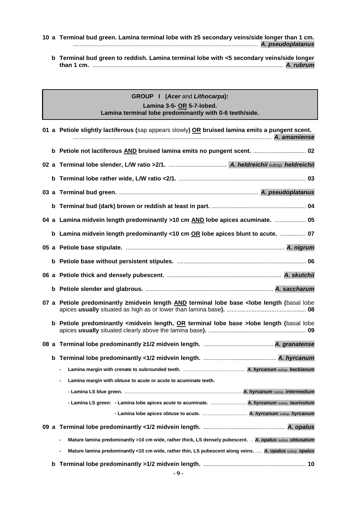### **10 a Terminal bud green. Lamina terminal lobe with ≥5 secondary veins/side longer than 1 cm.**  ................................................................................................................ *A. pseudoplatanus*

**b Terminal bud green to reddish. Lamina terminal lobe with <5 secondary veins/side longer than 1 cm.** ................................................................................................................... *A. rubrum*

## **GROUP I (***Acer* and *Lithocarpa***): Lamina 3-5- OR 5-7-lobed. Lamina terminal lobe predominantly with 0-6 teeth/side.**

|    |   | 01 a Petiole slightly lactiferous (sap appears slowly) OR bruised lamina emits a pungent scent.                            |
|----|---|----------------------------------------------------------------------------------------------------------------------------|
|    |   | b Petiole not lactiferous AND bruised lamina emits no pungent scent.  02                                                   |
|    |   |                                                                                                                            |
|    |   |                                                                                                                            |
|    |   |                                                                                                                            |
|    |   |                                                                                                                            |
|    |   | 04 a Lamina midvein length predominantly >10 cm AND lobe apices acuminate.  05                                             |
|    |   | b Lamina midvein length predominantly <10 cm OR lobe apices blunt to acute.  07                                            |
|    |   |                                                                                                                            |
|    |   |                                                                                                                            |
|    |   |                                                                                                                            |
|    |   |                                                                                                                            |
|    |   | 07 a Petiole predominantly 2midvein length <b>AND</b> terminal lobe base <lobe (basal="" length="" lobe<="" td=""></lobe>  |
|    |   | b Petiole predominantly <midvein base="" length,="" lobe="" or="" terminal="">lobe length (basal lobe</midvein>            |
|    |   |                                                                                                                            |
|    |   |                                                                                                                            |
|    |   |                                                                                                                            |
|    |   | Lamina margin with obtuse to acute or acute to acuminate teeth.                                                            |
|    |   |                                                                                                                            |
|    |   | - Lamina LS green: - Lamina lobe apices acute to acuminate.  A. hyrcanum subsp. tauricolum                                 |
|    |   |                                                                                                                            |
| 09 |   |                                                                                                                            |
|    |   | Mature lamina predominantly >10 cm wide, rather thick, LS densely pubescent.  A. opalus subsp. obtusatum<br>$\blacksquare$ |
|    |   | Mature lamina predominantly <10 cm wide, rather thin, LS pubescent along veins.  A. opalus subsp. opalus<br>$\blacksquare$ |
|    | b |                                                                                                                            |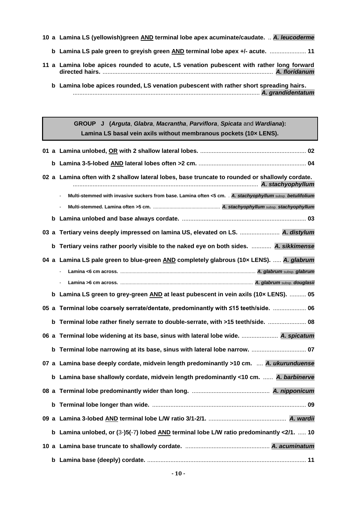- **10 a Lamina LS (yellowish)green AND terminal lobe apex acuminate/caudate.** .. *A. leucoderme*
	- **b Lamina LS pale green to greyish green AND terminal lobe apex +/- acute.** ...................... **11**
- **11 a Lamina lobe apices rounded to acute, LS venation pubescent with rather long forward directed hairs.** ....................................................................................................... *A. floridanum*
	- **b Lamina lobe apices rounded, LS venation pubescent with rather short spreading hairs.** ................................................................................................................. *A. grandidentatum*

**GROUP J (***Arguta*, *Glabra*, *Macrantha*, *Parviflora*, *Spicata* and *Wardiana***): Lamina LS basal vein axils without membranous pockets (10× LENS).**

|      |   | 02 a Lamina often with 2 shallow lateral lobes, base truncate to rounded or shallowly cordate.             |
|------|---|------------------------------------------------------------------------------------------------------------|
|      |   | Multi-stemmed with invasive suckers from base. Lamina often <5 cm. . A. stachyophyllum subsp. betulifolium |
|      |   |                                                                                                            |
|      |   |                                                                                                            |
| 03 a |   | Tertiary veins deeply impressed on lamina US, elevated on LS.  A. distylum                                 |
|      | b | Tertiary veins rather poorly visible to the naked eye on both sides.  A. sikkimense                        |
|      |   | 04 a Lamina LS pale green to blue-green AND completely glabrous (10x LENS).  A. glabrum                    |
|      |   |                                                                                                            |
|      |   |                                                                                                            |
|      |   | b Lamina LS green to grey-green AND at least pubescent in vein axils (10x LENS).  05                       |
|      |   | 05 a Terminal lobe coarsely serrate/dentate, predominantly with ≤15 teeth/side.  06                        |
|      | b | Terminal lobe rather finely serrate to double-serrate, with >15 teeth/side.  08                            |
|      |   | 06 a Terminal lobe widening at its base, sinus with lateral lobe wide.  A. spicatum                        |
|      | b | Terminal lobe narrowing at its base, sinus with lateral lobe narrow.  07                                   |
|      |   | 07 a Lamina base deeply cordate, midvein length predominantly >10 cm.  A. ukurunduense                     |
|      |   | b Lamina base shallowly cordate, midvein length predominantly <10 cm.  A. barbinerve                       |
|      |   |                                                                                                            |
|      | b |                                                                                                            |
|      |   |                                                                                                            |
|      |   | b Lamina unlobed, or $(3-)5(-7)$ lobed AND terminal lobe L/W ratio predominantly <2/1.  10                 |
|      |   |                                                                                                            |
|      |   |                                                                                                            |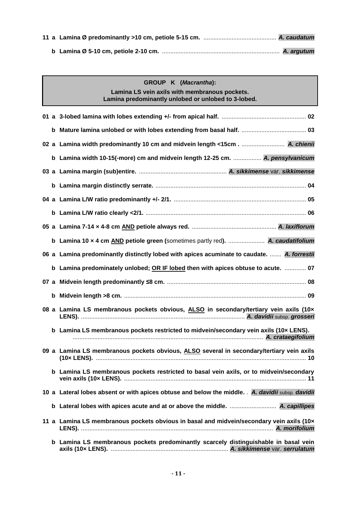| GROUP K (Macrantha):<br>Lamina LS vein axils with membranous pockets.<br>Lamina predominantly unlobed or unlobed to 3-lobed. |
|------------------------------------------------------------------------------------------------------------------------------|
|                                                                                                                              |
|                                                                                                                              |
|                                                                                                                              |
| b Lamina width 10-15(-more) cm and midvein length 12-25 cm.  A. pensylvanicum                                                |
|                                                                                                                              |
|                                                                                                                              |
|                                                                                                                              |
|                                                                                                                              |
|                                                                                                                              |
| b Lamina 10 x 4 cm AND petiole green (sometimes partly red).  A. caudatifolium                                               |
| 06 a Lamina predominantly distinctly lobed with apices acuminate to caudate.  A. forrestii                                   |
| b Lamina predominately unlobed; OR IF lobed then with apices obtuse to acute.  07                                            |
|                                                                                                                              |
|                                                                                                                              |
| 08 a Lamina LS membranous pockets obvious, ALSO in secondary/tertiary vein axils (10x                                        |
| b Lamina LS membranous pockets restricted to midvein/secondary vein axils (10x LENS).                                        |
| 09 a Lamina LS membranous pockets obvious, ALSO several in secondary/tertiary vein axils                                     |
| b Lamina LS membranous pockets restricted to basal vein axils, or to midvein/secondary                                       |
| 10 a Lateral lobes absent or with apices obtuse and below the middle. A. davidii subsp. davidii                              |
|                                                                                                                              |
| 11 a Lamina LS membranous pockets obvious in basal and midvein/secondary vein axils (10x                                     |
| b Lamina LS membranous pockets predominantly scarcely distinguishable in basal vein                                          |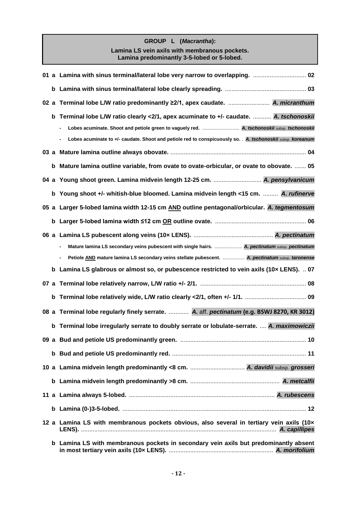## **GROUP L (***Macrantha***): Lamina LS vein axils with membranous pockets. Lamina predominantly 3-5-lobed or 5-lobed.**

|   | 02 01 a Lamina with sinus terminal/lateral lobe very narrow to overlapping.                                                      |
|---|----------------------------------------------------------------------------------------------------------------------------------|
|   |                                                                                                                                  |
|   |                                                                                                                                  |
| b | Terminal lobe L/W ratio clearly <2/1, apex acuminate to +/- caudate.  A. tschonoskii                                             |
|   |                                                                                                                                  |
|   | Lobes acuminate to +/- caudate. Shoot and petiole red to conspicuously so. . A. tschonoskii subsp. koreanum                      |
|   |                                                                                                                                  |
| b | Mature lamina outline variable, from ovate to ovate-orbicular, or ovate to obovate.  05                                          |
|   | 04 a Young shoot green. Lamina midvein length 12-25 cm.  A. pensylvanicum                                                        |
|   | b Young shoot +/- whitish-blue bloomed. Lamina midvein length <15 cm.  A. rufinerve                                              |
|   | 05 a Larger 5-lobed lamina width 12-15 cm AND outline pentagonal/orbicular. A. tegmentosum                                       |
| b |                                                                                                                                  |
|   |                                                                                                                                  |
|   | Mature lamina LS secondary veins pubescent with single hairs.  A. pectinatum subsp. pectinatum                                   |
|   | Petiole AND mature lamina LS secondary veins stellate pubescent.  A. pectinatum subsp. taronense<br>$\qquad \qquad \blacksquare$ |
| b | Lamina LS glabrous or almost so, or pubescence restricted to vein axils (10x LENS).  07                                          |
|   |                                                                                                                                  |
|   |                                                                                                                                  |
|   | 08 a Terminal lobe regularly finely serrate.  A. aff. pectinatum (e.g. BSWJ 8270, KR 3012)                                       |
|   | b Terminal lobe irregularly serrate to doubly serrate or lobulate-serrate.  A. maximowiczii                                      |
|   |                                                                                                                                  |
|   |                                                                                                                                  |
|   |                                                                                                                                  |
|   |                                                                                                                                  |
|   |                                                                                                                                  |
|   |                                                                                                                                  |
|   | 12 a Lamina LS with membranous pockets obvious, also several in tertiary vein axils $(10 \times$                                 |
|   | b Lamina LS with membranous pockets in secondary vein axils but predominantly absent                                             |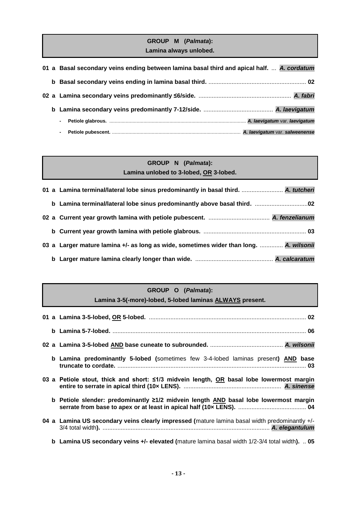## **GROUP M (***Palmata***): Lamina always unlobed.**

|  | 01 a Basal secondary veins ending between lamina basal third and apical half.  A. cordatum |
|--|--------------------------------------------------------------------------------------------|
|  |                                                                                            |
|  |                                                                                            |
|  |                                                                                            |
|  | $\sim$                                                                                     |
|  | $\blacksquare$                                                                             |

## **GROUP N (***Palmata***): Lamina unlobed to 3-lobed, OR 3-lobed.**

|  | 01 a Lamina terminal/lateral lobe sinus predominantly in basal third.  A. tutcheri     |
|--|----------------------------------------------------------------------------------------|
|  |                                                                                        |
|  |                                                                                        |
|  |                                                                                        |
|  | 03 a Larger mature lamina +/- as long as wide, sometimes wider than long.  A. wilsonii |
|  |                                                                                        |

## **GROUP O (***Palmata***):**

**Lamina 3-5(-more)-lobed, 5-lobed laminas ALWAYS present.**

|  | <b>b Lamina predominantly 5-lobed (sometimes few 3-4-lobed laminas present) AND base</b>               |
|--|--------------------------------------------------------------------------------------------------------|
|  | 03 a Petiole stout, thick and short: $\leq$ 1/3 midvein length, OR basal lobe lowermost margin         |
|  | b Petiole slender: predominantly ≥1/2 midvein length AND basal lobe lowermost margin                   |
|  | 04 a Lamina US secondary veins clearly impressed (mature lamina basal width predominantly +/-          |
|  | <b>b</b> Lamina US secondary veins +/- elevated (mature lamina basal width $1/2-3/4$ total width).  05 |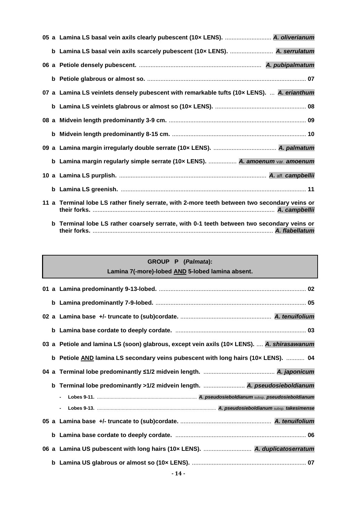|  | 05 a Lamina LS basal vein axils clearly pubescent (10x LENS).  A. oliverianum                 |
|--|-----------------------------------------------------------------------------------------------|
|  | b Lamina LS basal vein axils scarcely pubescent (10x LENS).  A. serrulatum                    |
|  |                                                                                               |
|  |                                                                                               |
|  | 07 a Lamina LS veinlets densely pubescent with remarkable tufts (10x LENS).  A. erianthum     |
|  |                                                                                               |
|  |                                                                                               |
|  |                                                                                               |
|  |                                                                                               |
|  | b Lamina margin regularly simple serrate (10x LENS).  A. amoenum var. amoenum                 |
|  |                                                                                               |
|  |                                                                                               |
|  | 11 a Terminal lobe LS rather finely serrate, with 2-more teeth between two secondary veins or |
|  | b Terminal lobe LS rather coarsely serrate, with 0-1 teeth between two secondary veins or     |

**their forks.** ............................................................................................................. *A. flabellatum*

# **GROUP P (***Palmata***): Lamina 7(-more)-lobed AND 5-lobed lamina absent.**

|             | 03 a Petiole and lamina LS (soon) glabrous, except vein axils (10x LENS).  A. shirasawanum |
|-------------|--------------------------------------------------------------------------------------------|
|             | b Petiole AND lamina LS secondary veins pubescent with long hairs (10x LENS).  04          |
| 04          |                                                                                            |
| $\mathbf b$ | Terminal lobe predominantly >1/2 midvein length.  A. pseudosieboldianum                    |
|             | $\overline{\phantom{0}}$                                                                   |
|             | $\overline{\phantom{0}}$                                                                   |
|             |                                                                                            |
|             |                                                                                            |
|             | 06 a Lamina US pubescent with long hairs (10x LENS).  A. duplicatoserratum                 |
|             |                                                                                            |
|             | $-11$                                                                                      |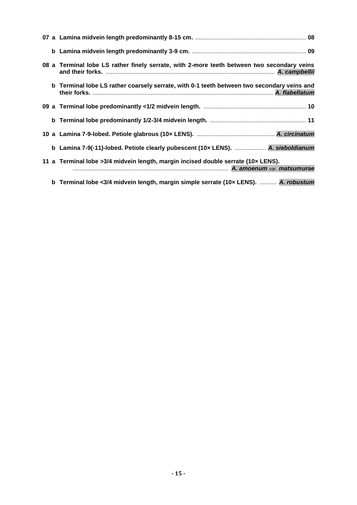|  | 08 a Terminal lobe LS rather finely serrate, with 2-more teeth between two secondary veins |
|--|--------------------------------------------------------------------------------------------|
|  | b Terminal lobe LS rather coarsely serrate, with 0-1 teeth between two secondary veins and |
|  |                                                                                            |
|  |                                                                                            |
|  |                                                                                            |
|  | b Lamina 7-9(-11)-lobed. Petiole clearly pubescent (10x LENS).  A. sieboldianum            |
|  | 11 a Terminal lobe > 3/4 midvein length, margin incised double serrate (10x LENS).         |
|  | b Terminal lobe <3/4 midvein length, margin simple serrate (10x LENS).  A. robustum        |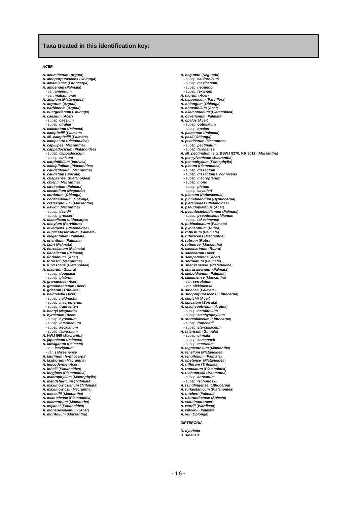#### **Taxa treated in this identification key:**

#### *ACER*

*A. acuminatum* (*Arguta*)

- *A. albopurpurascens* (*Oblonga*) *A. amamiense* (*Lithocarpa*)
- *A. amoenum* (*Palmata*)
- *-* var. *amoenum*
- *-* var. *matsumurae*
- *A. amplum* (*Platanoidea*)
- 
- *A. argutum* (*Arguta*) *A. barbinerve* (*Arguta*)
- *A. buergerianum* (*Oblonga*) *A. caesium* (*Acer*)
- 
- *-* subsp. *caesium -* subsp. *giraldii*
- *A. calcaratum* (*Palmata*)
- *A. campbellii* (*Palmata*)
- *A.* aff. *campbellii* (*Palmata*)
- 
- *A. campestre* (*Platanoidea*) *A. capillipes* (*Macrantha*)
- *A. cappadocicum* (*Platanoidea*)  *-* subsp. *cappadocicum*
- *-* subsp. *sinicum*
- *A. carpinifolium* (*Indivisa*)
- *A. catalpifolium* (*Platanoidea*) *A. caudatifolium* (*Macrantha*)
- *A. caudatum* (*Spicata*)
- 
- *A. chapaense* (*Platanoidea*) *A. chienii* (*Macrantha*)
- 
- *A. circinatum* (*Palmata*) *A. cissifolium* (*Negundo*)
- 
- *A. cordatum* (*Oblonga*) *A. coriaceifolium* (*Oblonga*)
- *A. crataegifolium* (*Macrantha*) *A. davidii* (*Macrantha*)
- 
- *-* subsp. *davidii -* subsp. *grosseri*
- 
- *A. diabolicum* (*Lithocarpa*)
- *A. distylum* (*Parviflora*) *A. divergens* (*Platanoidea*)
- 
- *A. duplicatoserratum* (*Palmata*) *A. elegantulum* (*Palmata*)
- *A. erianthum* (*Palmata*)
- 
- *A. fabri* (*Palmata*) *A. fenzelianum* (*Palmata*) *A*. *flabellatum* (*Palmata*)
- 
- *A. floridanum* (*Acer*) *A. forrestii* (*Macrantha*)
- *A. fulvescens* (*Platanoidea*)
- *A. glabrum* (*Glabra*)
- *-* subsp. *douglasii -* subsp. *glabrum*
- *A. granatense* (*Acer*)
- 
- 
- *A. grandidentatum* (*Acer*) *A. griseum* (*Trifoliata*) *A. heldreichii* (*Acer*)  *-* subsp. *heldreichii*
- *-* subsp. *macropterum*
- *-* subsp. *trautvetteri*
- 
- *A. henryi* (*Negundo*) *A. hyrcanum* (*Acer*)
- 
- *-* subsp. *hyrcanum -* subsp. *intermedium -* subsp. *keckianum*
- 
- *-* subsp. *tauricolum A.* **HWJ 569** (*Macrantha*)
- *A. japonicum* (*Palmata*) *A. laevigatum* (*Palmata*)
- 
- *-* var. *laevigatum -* var. *salweenense*
- *A. laurinum* (*Hyptiocarpa*) *A. laxiflorum* (*Macrantha*)
- 
- *A. leucoderme* (*Acer*) *A*. *lobelii* (*Platanoidea*)
- 
- *A. longipes* (*Platanoidea*) *A. macrophyllum* (*Macrophylla*)
- 
- *A. mandshuricum* (*Trifoliata*) *A. maximowiczianum* (*Trifoliata*)
- *A. maximowiczii* (*Macrantha*)
- *A. metcalfii* (*Macrantha*) *A. miaotaiense* (*Platanoidea*)
- 
- *A. micranthum* (*Macrantha*) *A. miyabei* (*Platanoidea*)
- 
- *A. monspessulanum* (*Acer*) *A. morifolium* (*Macrantha*)
- *A. negundo* (*Negundo*)  *-* subsp. *californicum*
- *-* subsp. *mexicanum*
- *-* subsp. *negundo*
- *-* subsp. *texanum*
- *A. nigrum* (*Acer*) *A. nipponicum* (*Parviflora*)
- 
- *A. oblongum* (*Oblonga*) *A. obtusifolium* (*Acer*)
- *A. okamotoanum* (*Platanoidea*)
- *A. oliverianum* (*Palmata*)
- 
- 
- *A. opalus* (*Acer*)  *-* subsp. **obtusatum**  *-* subsp. *opalus A. palmatum* (*Palmata*)
- 
- *A. paxii* (*Oblonga*) *A. pectinatum* (*Macrantha*)
- 
- *-* subsp. *pectinatum -* subsp. *taronense*
- *A.* aff. *pectinatum* **(e.g. BSWJ 8270, KR 3012)** (*Macrantha*) *A. pensylvanicum* (*Macrantha*)
- 
- *A. pentaphyllum* (*Pentaphylla*) *A. pictum* (*Platanoidea*)  *-* subsp. *dissectum*
- 
- *-* subsp. *dissectum* f. *connivens*
- *-* subsp. *macropterum*
- *-* subsp. *mono*
- *-* subsp. *pictum*

**- 16 -**

- *-* subsp. *savatieri*
- *A. pilosum* (*Pubescentia*)
- *A. pinnatinervium* (*Hyptiocarpa*) *A. platanoides* (*Platanoidea*) *A. pseudoplatanus* (*Acer*)

*A. pseudosieboldianum* (*Palmata*)  *-* subsp. *pseudosieboldianum -* subsp. *takesimense A. pubipalmatum* (*Palmata*) *A. pycnanthum* (*Rubra*) *A. robustum* (*Palmata*) *A. rubescens* (*Macrantha*) *A. rubrum* (*Rubra*) *A. rufinerve* (*Macrantha*) *A. saccharinum* (*Rubra*) *A. saccharum* (*Acer*) *A. sempervirens* (*Acer*) *A. serrulatum* (*Palmata*) *A. shenkanense* (*Platanoidea*) *A. shirasawanum* (*Palmata*) *A. sieboldianum* (*Palmata*) *A. sikkimense* (*Macrantha*)  *-* var. *serrulatum -* var. *sikkimense A. sinense* (*Palmata*)

*A. sinopurpurascens* (*Lithocarpa*) *A. skutchii* (*Acer*)

*A. spicatum* (*Spicata*) *A. stachyophyllum* (*Arguta*)  *-* subsp. *betulifolium -* subsp. *stachyophyllum A. sterculiaceum* (*Lithocarpa*)  *-* subsp. *franchetii -* subsp. *sterculiaceum A. tataricum* (*Ginnala*)  *-* subsp. *ginnala -* subsp. *semenovii*

 *-* subsp. *tataricum A. tegmentosum* (*Macrantha*) *A. tenellum* (*Platanoidea*) *A. tenuifolium* (*Palmata*) *A. tibetense* (*Platanoidea*) *A. triflorum* (*Trifoliata*) *A. truncatum* (*Platanoidea*) *A. tschonoskii* (*Macrantha*)  *-* subsp. *koreanum -* subsp. *tschonoskii A. tsinglingense* (*Lithocarpa*) *A. turkestanicum* (*Platanoidea*) *A. tutcheri* (*Palmata*) *A. ukurunduense* (*Spicata*) *A. velutinum* (*Acer*) *A. wardii* (*Wardiana*) *A.* **w***ilsonii* (*Palmata*) *A. yui* (*Oblonga*) *DIPTERONIA D. dyeriana D. sinensis*